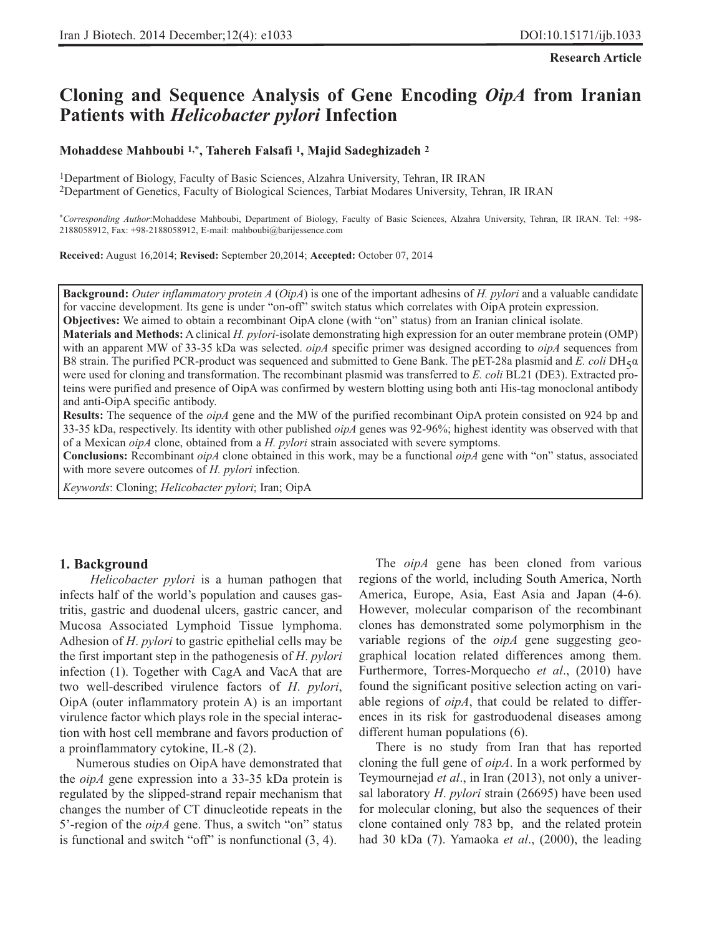**Research Article**

# **Cloning and Sequence Analysis of Gene Encoding** *OipA* **from Iranian Patients with** *Helicobacter pylori* **Infection**

**Mohaddese Mahboubi 1,\*, Tahereh Falsafi 1, Majid Sadeghizadeh 2**

1Department of Biology, Faculty of Basic Sciences, Alzahra University, Tehran, IR IRAN 2Department of Genetics, Faculty of Biological Sciences, Tarbiat Modares University, Tehran, IR IRAN

\**Corresponding Author*:Mohaddese Mahboubi, Department of Biology, Faculty of Basic Sciences, Alzahra University, Tehran, IR IRAN. Tel: +98- 2188058912, Fax: +98-2188058912, E-mail: mahboubi@barijessence.com

**Received:** August 16,2014; **Revised:** September 20,2014; **Accepted:** October 07, 2014

**Background:** *Outer inflammatory protein A* (*OipA*) is one of the important adhesins of *H. pylori* and a valuable candidate for vaccine development. Its gene is under "on-off" switch status which correlates with OipA protein expression. **Objectives:** We aimed to obtain a recombinant OipA clone (with "on" status) from an Iranian clinical isolate.

**Materials and Methods:** A clinical *H. pylori*-isolate demonstrating high expression for an outer membrane protein (OMP) with an apparent MW of 33-35 kDa was selected. *oipA* specific primer was designed according to *oipA* sequences from B8 strain. The purified PCR-product was sequenced and submitted to Gene Bank. The pET-28a plasmid and *E. coli* DH $_5\alpha$ were used for cloning and transformation. The recombinant plasmid was transferred to *E. coli* BL21 (DE3). Extracted proteins were purified and presence of OipA was confirmed by western blotting using both anti His-tag monoclonal antibody and anti-OipA specific antibody.

**Results:** The sequence of the *oipA* gene and the MW of the purified recombinant OipA protein consisted on 924 bp and 33-35 kDa, respectively. Its identity with other published *oipA* genes was 92-96%; highest identity was observed with that of a Mexican *oipA* clone, obtained from a *H. pylori* strain associated with severe symptoms.

**Conclusions:** Recombinant *oipA* clone obtained in this work, may be a functional *oipA* gene with "on" status, associated with more severe outcomes of *H. pylori* infection.

*Keywords*: Cloning; *Helicobacter pylori*; Iran; OipA

### **1. Background**

*Helicobacter pylori* is a human pathogen that infects half of the world's population and causes gastritis, gastric and duodenal ulcers, gastric cancer, and Mucosa Associated Lymphoid Tissue lymphoma. Adhesion of *H*. *pylori* to gastric epithelial cells may be the first important step in the pathogenesis of *H*. *pylori* infection (1). Together with CagA and VacA that are two well-described virulence factors of *H*. *pylori*, OipA (outer inflammatory protein A) is an important virulence factor which plays role in the special interaction with host cell membrane and favors production of a proinflammatory cytokine, IL-8 (2).

Numerous studies on OipA have demonstrated that the *oipA* gene expression into a 33-35 kDa protein is regulated by the slipped-strand repair mechanism that changes the number of CT dinucleotide repeats in the 5'-region of the *oipA* gene. Thus, a switch "on" status is functional and switch "off" is nonfunctional (3, 4).

The *oipA* gene has been cloned from various regions of the world, including South America, North America, Europe, Asia, East Asia and Japan (4-6). However, molecular comparison of the recombinant clones has demonstrated some polymorphism in the variable regions of the *oipA* gene suggesting geographical location related differences among them. Furthermore, Torres-Morquecho *et al*., (2010) have found the significant positive selection acting on variable regions of *oipA*, that could be related to differences in its risk for gastroduodenal diseases among different human populations (6).

There is no study from Iran that has reported cloning the full gene of *oipA*. In a work performed by Teymournejad *et al*., in Iran (2013), not only a universal laboratory *H*. *pylori* strain (26695) have been used for molecular cloning, but also the sequences of their clone contained only 783 bp, and the related protein had 30 kDa (7). Yamaoka *et al*., (2000), the leading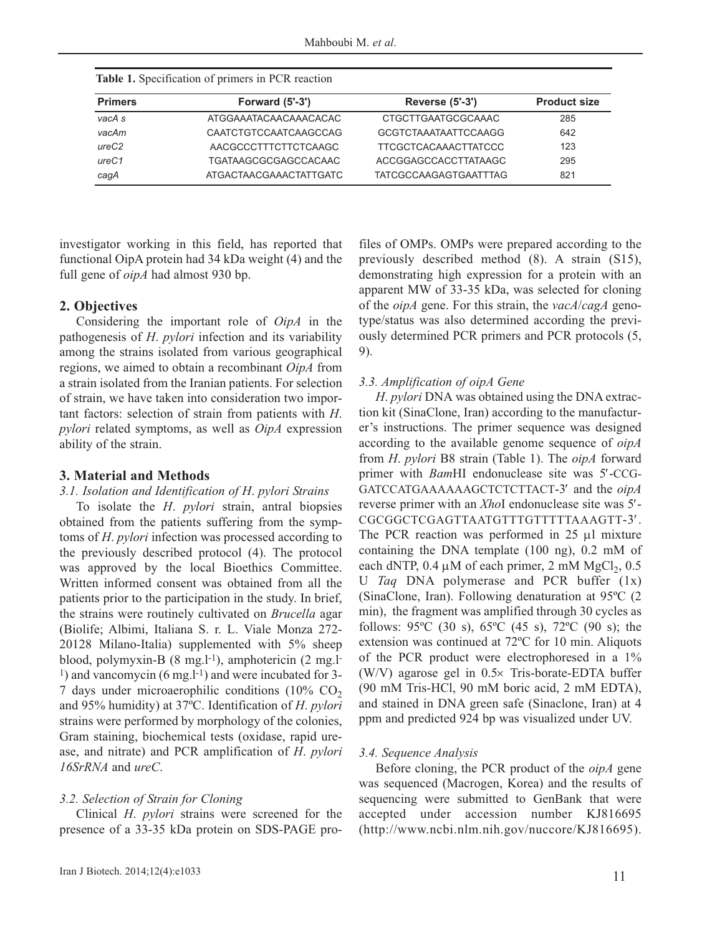**Primers Forward (5'-3') Reverse (5'-3') Product size** *vacA s vacAm ureC2 ureC1 cagA* ATGGAAATACAACAAACACAC CAATCTGTCCAATCAAGCCAG AACGCCCTTTCTTCTCAAGC TGATAAGCGCGAGCCACAAC ATGACTAACGAAACTATTGATC CTGCTTGAATGCGCAAAC GCGTCTAAATAATTCCAAGG TTCGCTCACAAACTTATCCC ACCGGAGCCACCTTATAAGC TATCGCCAAGAGTGAATTTAG 285 642 123 295 821

**Table 1.** Specification of primers in PCR reaction

investigator working in this field, has reported that functional OipA protein had 34 kDa weight (4) and the full gene of *oipA* had almost 930 bp.

### **2. Objectives**

Considering the important role of *OipA* in the pathogenesis of *H*. *pylori* infection and its variability among the strains isolated from various geographical regions, we aimed to obtain a recombinant *OipA* from a strain isolated from the Iranian patients. For selection of strain, we have taken into consideration two important factors: selection of strain from patients with *H*. *pylori* related symptoms, as well as *OipA* expression ability of the strain.

### **3. Material and Methods**

### *3.1. Isolation and Identification of H*. *pylori Strains*

To isolate the *H*. *pylori* strain, antral biopsies obtained from the patients suffering from the symptoms of *H*. *pylori* infection was processed according to the previously described protocol (4). The protocol was approved by the local Bioethics Committee. Written informed consent was obtained from all the patients prior to the participation in the study. In brief, the strains were routinely cultivated on *Brucella* agar (Biolife; Albimi, Italiana S. r. L. Viale Monza 272- 20128 Milano-Italia) supplemented with 5% sheep blood, polymyxin-B (8 mg.l-1), amphotericin (2 mg.l- $1)$  and vancomycin (6 mg.<sup>1-1</sup>) and were incubated for 3-7 days under microaerophilic conditions  $(10\%$  CO<sub>2</sub> and 95% humidity) at 37ºC. Identification of *H*. *pylori* strains were performed by morphology of the colonies, Gram staining, biochemical tests (oxidase, rapid urease, and nitrate) and PCR amplification of *H*. *pylori 16SrRNA* and *ureC*.

### *3.2. Selection of Strain for Cloning*

Clinical *H*. *pylori* strains were screened for the presence of a 33-35 kDa protein on SDS-PAGE profiles of OMPs. OMPs were prepared according to the previously described method (8). A strain (S15), demonstrating high expression for a protein with an apparent MW of 33-35 kDa, was selected for cloning of the *oipA* gene. For this strain, the *vacA*/*cagA* genotype/status was also determined according the previously determined PCR primers and PCR protocols (5, 9).

#### *3.3. Amplification of oipA Gene*

*H*. *pylori* DNA was obtained using the DNA extraction kit (SinaClone, Iran) according to the manufacturer's instructions. The primer sequence was designed according to the available genome sequence of *oipA* from *H*. *pylori* B8 strain (Table 1). The *oipA* forward primer with *Bam*HI endonuclease site was 5′-CCG-GATCCATGAAAAAAGCTCTCTTACT-3′ and the *oipA* reverse primer with an *Xho*I endonuclease site was 5′- CGCGGCTCGAGTTAATGTTTGTTTTTAAAGTT-3′. The PCR reaction was performed in 25 μl mixture containing the DNA template (100 ng), 0.2 mM of each dNTP,  $0.4 \mu M$  of each primer, 2 mM MgCl<sub>2</sub>,  $0.5$ U *Taq* DNA polymerase and PCR buffer (1x) (SinaClone, Iran). Following denaturation at 95ºC (2 min), the fragment was amplified through 30 cycles as follows: 95ºC (30 s), 65ºC (45 s), 72ºC (90 s); the extension was continued at 72ºC for 10 min. Aliquots of the PCR product were electrophoresed in a 1% (W/V) agarose gel in 0.5× Tris-borate-EDTA buffer (90 mM Tris-HCl, 90 mM boric acid, 2 mM EDTA), and stained in DNA green safe (Sinaclone, Iran) at 4 ppm and predicted 924 bp was visualized under UV.

### *3.4. Sequence Analysis*

Before cloning, the PCR product of the *oipA* gene was sequenced (Macrogen, Korea) and the results of sequencing were submitted to GenBank that were accepted under accession number KJ816695 (http://www.ncbi.nlm.nih.gov/nuccore/KJ816695).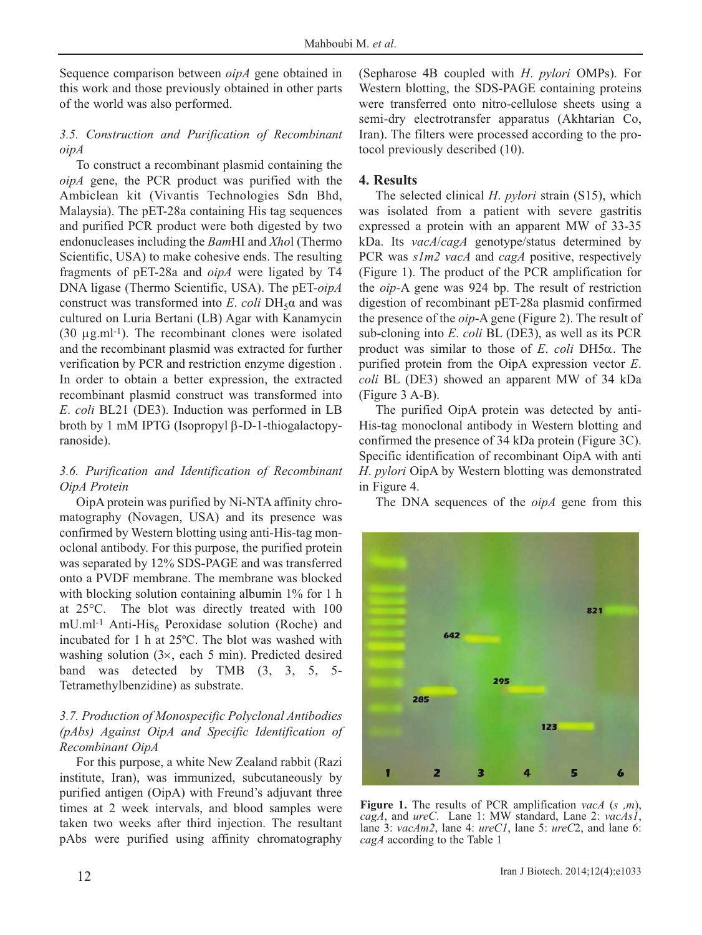Sequence comparison between *oipA* gene obtained in this work and those previously obtained in other parts of the world was also performed.

# *3.5. Construction and Purification of Recombinant oipA*

To construct a recombinant plasmid containing the *oipA* gene, the PCR product was purified with the Ambiclean kit (Vivantis Technologies Sdn Bhd, Malaysia). The pET-28a containing His tag sequences and purified PCR product were both digested by two endonucleases including the *Bam*HI and *Xho*l (Thermo Scientific, USA) to make cohesive ends. The resulting fragments of pET-28a and *oipA* were ligated by T4 DNA ligase (Thermo Scientific, USA). The pET-*oipA* construct was transformed into *E*. *coli*  $DH<sub>5</sub>α$  and was cultured on Luria Bertani (LB) Agar with Kanamycin (30  $\mu$ g.ml<sup>-1</sup>). The recombinant clones were isolated and the recombinant plasmid was extracted for further verification by PCR and restriction enzyme digestion . In order to obtain a better expression, the extracted recombinant plasmid construct was transformed into *E*. *coli* BL21 (DE3). Induction was performed in LB broth by 1 mM IPTG (Isopropyl β-D-1-thiogalactopyranoside).

# *3.6. Purification and Identification of Recombinant OipA Protein*

OipA protein was purified by Ni-NTA affinity chromatography (Novagen, USA) and its presence was confirmed by Western blotting using anti-His-tag monoclonal antibody. For this purpose, the purified protein was separated by 12% SDS-PAGE and was transferred onto a PVDF membrane. The membrane was blocked with blocking solution containing albumin 1% for 1 h at 25°C. The blot was directly treated with 100  $mU.m<sup>1</sup>$  Anti-His<sub>6</sub> Peroxidase solution (Roche) and incubated for 1 h at 25ºC. The blot was washed with washing solution (3×, each 5 min). Predicted desired band was detected by TMB (3, 3, 5, 5- Tetramethylbenzidine) as substrate.

# *3.7. Production of Monospecific Polyclonal Antibodies (pAbs) Against OipA and Specific Identification of Recombinant OipA*

For this purpose, a white New Zealand rabbit (Razi institute, Iran), was immunized, subcutaneously by purified antigen (OipA) with Freund's adjuvant three times at 2 week intervals, and blood samples were taken two weeks after third injection. The resultant pAbs were purified using affinity chromatography

(Sepharose 4B coupled with *H*. *pylori* OMPs). For Western blotting, the SDS-PAGE containing proteins were transferred onto nitro-cellulose sheets using a semi-dry electrotransfer apparatus (Akhtarian Co, Iran). The filters were processed according to the protocol previously described (10).

# **4. Results**

The selected clinical *H*. *pylori* strain (S15), which was isolated from a patient with severe gastritis expressed a protein with an apparent MW of 33-35 kDa. Its *vacA*/*cagA* genotype/status determined by PCR was *s1m2 vacA* and *cagA* positive, respectively (Figure 1). The product of the PCR amplification for the *oip*-A gene was 924 bp. The result of restriction digestion of recombinant pET-28a plasmid confirmed the presence of the *oip*-A gene (Figure 2). The result of sub-cloning into *E*. *coli* BL (DE3), as well as its PCR product was similar to those of *E*. *coli* DH5α. The purified protein from the OipA expression vector *E*. *coli* BL (DE3) showed an apparent MW of 34 kDa (Figure 3 A-B).

The purified OipA protein was detected by anti-His-tag monoclonal antibody in Western blotting and confirmed the presence of 34 kDa protein (Figure 3C). Specific identification of recombinant OipA with anti *H*. *pylori* OipA by Western blotting was demonstrated in Figure 4.

The DNA sequences of the *oipA* gene from this



**Figure 1.** The results of PCR amplification *vacA* (*s ,m*), *cagA*, and *ureC*. Lane 1: MW standard, Lane 2: *vacAs1*, lane 3: *vacAm2*, lane 4: *ureC1*, lane 5: *ureC*2, and lane 6: *cagA* according to the Table 1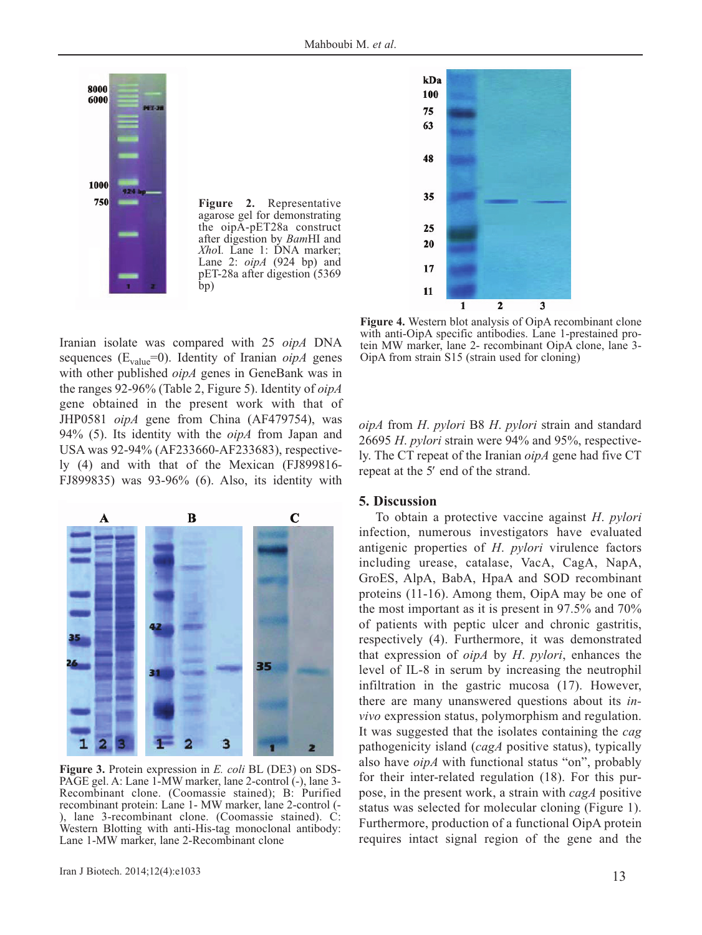

**Figure 2.** Representative agarose gel for demonstrating the oipA-pET28a construct after digestion by *Bam*HI and *Xho*I*.* Lane 1: DNA marker; Lane 2: *oipA* (924 bp) and pET-28a after digestion (5369 bp)

Iranian isolate was compared with 25 *oipA* DNA sequences ( $E_{value} = 0$ ). Identity of Iranian *oipA* genes with other published *oipA* genes in GeneBank was in the ranges 92-96% (Table 2, Figure 5). Identity of *oipA* gene obtained in the present work with that of JHP0581 *oipA* gene from China (AF479754), was 94% (5). Its identity with the *oipA* from Japan and USA was 92-94% (AF233660-AF233683), respectively (4) and with that of the Mexican (FJ899816- FJ899835) was 93-96% (6). Also, its identity with



**Figure 3.** Protein expression in *E. coli* BL (DE3) on SDS-PAGE gel. A: Lane 1-MW marker, lane 2-control (-), lane 3- Recombinant clone. (Coomassie stained); B: Purified recombinant protein: Lane 1- MW marker, lane 2-control (- ), lane 3-recombinant clone. (Coomassie stained). C: Western Blotting with anti-His-tag monoclonal antibody: Lane 1-MW marker, lane 2-Recombinant clone



**Figure 4.** Western blot analysis of OipA recombinant clone with anti-OipA specific antibodies. Lane 1-prestained protein MW marker, lane 2- recombinant OipA clone, lane 3- OipA from strain S15 (strain used for cloning)

*oipA* from *H*. *pylori* B8 *H*. *pylori* strain and standard 26695 *H*. *pylori* strain were 94% and 95%, respectively. The CT repeat of the Iranian *oipA* gene had five CT repeat at the 5′ end of the strand.

#### **5. Discussion**

To obtain a protective vaccine against *H*. *pylori* infection, numerous investigators have evaluated antigenic properties of *H*. *pylori* virulence factors including urease, catalase, VacA, CagA, NapA, GroES, AlpA, BabA, HpaA and SOD recombinant proteins (11-16). Among them, OipA may be one of the most important as it is present in 97.5% and 70% of patients with peptic ulcer and chronic gastritis, respectively (4). Furthermore, it was demonstrated that expression of *oipA* by *H*. *pylori*, enhances the level of IL-8 in serum by increasing the neutrophil infiltration in the gastric mucosa (17). However, there are many unanswered questions about its *invivo* expression status, polymorphism and regulation. It was suggested that the isolates containing the *cag* pathogenicity island (*cagA* positive status), typically also have *oipA* with functional status "on", probably for their inter-related regulation (18). For this purpose, in the present work, a strain with *cagA* positive status was selected for molecular cloning (Figure 1). Furthermore, production of a functional OipA protein requires intact signal region of the gene and the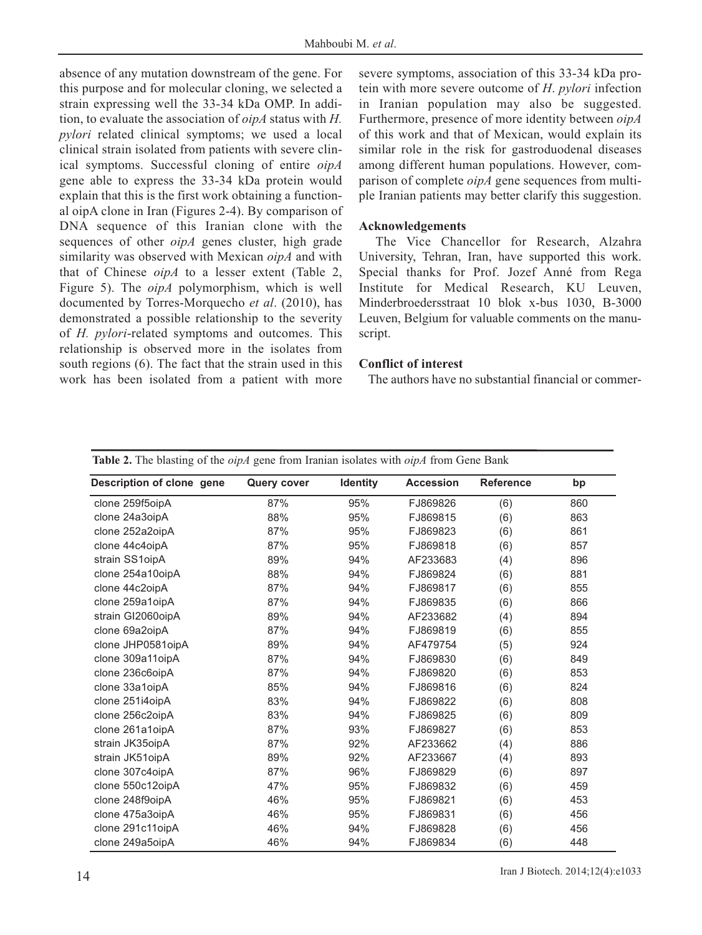absence of any mutation downstream of the gene. For this purpose and for molecular cloning, we selected a strain expressing well the 33-34 kDa OMP. In addition, to evaluate the association of *oipA* status with *H. pylori* related clinical symptoms; we used a local clinical strain isolated from patients with severe clinical symptoms. Successful cloning of entire *oipA* gene able to express the 33-34 kDa protein would explain that this is the first work obtaining a functional oipA clone in Iran (Figures 2-4). By comparison of DNA sequence of this Iranian clone with the sequences of other *oipA* genes cluster, high grade similarity was observed with Mexican *oipA* and with that of Chinese *oipA* to a lesser extent (Table 2, Figure 5). The *oipA* polymorphism, which is well documented by Torres-Morquecho *et al*. (2010), has demonstrated a possible relationship to the severity of *H. pylori*-related symptoms and outcomes. This relationship is observed more in the isolates from south regions (6). The fact that the strain used in this work has been isolated from a patient with more

severe symptoms, association of this 33-34 kDa protein with more severe outcome of *H*. *pylori* infection in Iranian population may also be suggested. Furthermore, presence of more identity between *oipA* of this work and that of Mexican, would explain its similar role in the risk for gastroduodenal diseases among different human populations. However, comparison of complete *oipA* gene sequences from multiple Iranian patients may better clarify this suggestion.

### **Acknowledgements**

The Vice Chancellor for Research, Alzahra University, Tehran, Iran, have supported this work. Special thanks for Prof. Jozef Anné from Rega Institute for Medical Research, KU Leuven, Minderbroedersstraat 10 blok x-bus 1030, B-3000 Leuven, Belgium for valuable comments on the manuscript.

### **Conflict of interest**

The authors have no substantial financial or commer-

| Table 2. The blasting of the <i>oipA</i> gene from Iranian isolates with <i>oipA</i> from Gene Bank |                    |                 |                  |                  |     |
|-----------------------------------------------------------------------------------------------------|--------------------|-----------------|------------------|------------------|-----|
| Description of clone gene                                                                           | <b>Query cover</b> | <b>Identity</b> | <b>Accession</b> | <b>Reference</b> | bp  |
| clone 259f5oipA                                                                                     | 87%                | 95%             | FJ869826         | (6)              | 860 |
| clone 24a3oipA                                                                                      | 88%                | 95%             | FJ869815         | (6)              | 863 |
| clone 252a2oipA                                                                                     | 87%                | 95%             | FJ869823         | (6)              | 861 |
| clone 44c4oipA                                                                                      | 87%                | 95%             | FJ869818         | (6)              | 857 |
| strain SS1oipA                                                                                      | 89%                | 94%             | AF233683         | (4)              | 896 |
| clone 254a10oipA                                                                                    | 88%                | 94%             | FJ869824         | (6)              | 881 |
| clone 44c2oipA                                                                                      | 87%                | 94%             | FJ869817         | (6)              | 855 |
| clone 259a1oipA                                                                                     | 87%                | 94%             | FJ869835         | (6)              | 866 |
| strain GI2060oipA                                                                                   | 89%                | 94%             | AF233682         | (4)              | 894 |
| clone 69a2oipA                                                                                      | 87%                | 94%             | FJ869819         | (6)              | 855 |
| clone JHP0581oipA                                                                                   | 89%                | 94%             | AF479754         | (5)              | 924 |
| clone 309a11oipA                                                                                    | 87%                | 94%             | FJ869830         | (6)              | 849 |
| clone 236c6oipA                                                                                     | 87%                | 94%             | FJ869820         | (6)              | 853 |
| clone 33a1oipA                                                                                      | 85%                | 94%             | FJ869816         | (6)              | 824 |
| clone 251i4oipA                                                                                     | 83%                | 94%             | FJ869822         | (6)              | 808 |
| clone 256c2oipA                                                                                     | 83%                | 94%             | FJ869825         | (6)              | 809 |
| clone 261a1oipA                                                                                     | 87%                | 93%             | FJ869827         | (6)              | 853 |
| strain JK35oipA                                                                                     | 87%                | 92%             | AF233662         | (4)              | 886 |
| strain JK51oipA                                                                                     | 89%                | 92%             | AF233667         | (4)              | 893 |
| clone 307c4oipA                                                                                     | 87%                | 96%             | FJ869829         | (6)              | 897 |
| clone 550c12oipA                                                                                    | 47%                | 95%             | FJ869832         | (6)              | 459 |
| clone 248f9oipA                                                                                     | 46%                | 95%             | FJ869821         | (6)              | 453 |
| clone 475a3oipA                                                                                     | 46%                | 95%             | FJ869831         | (6)              | 456 |
| clone 291c11oipA                                                                                    | 46%                | 94%             | FJ869828         | (6)              | 456 |
| clone 249a5oipA                                                                                     | 46%                | 94%             | FJ869834         | (6)              | 448 |

| Iran J Biotech. 2014;12(4):e1033 |
|----------------------------------|
|                                  |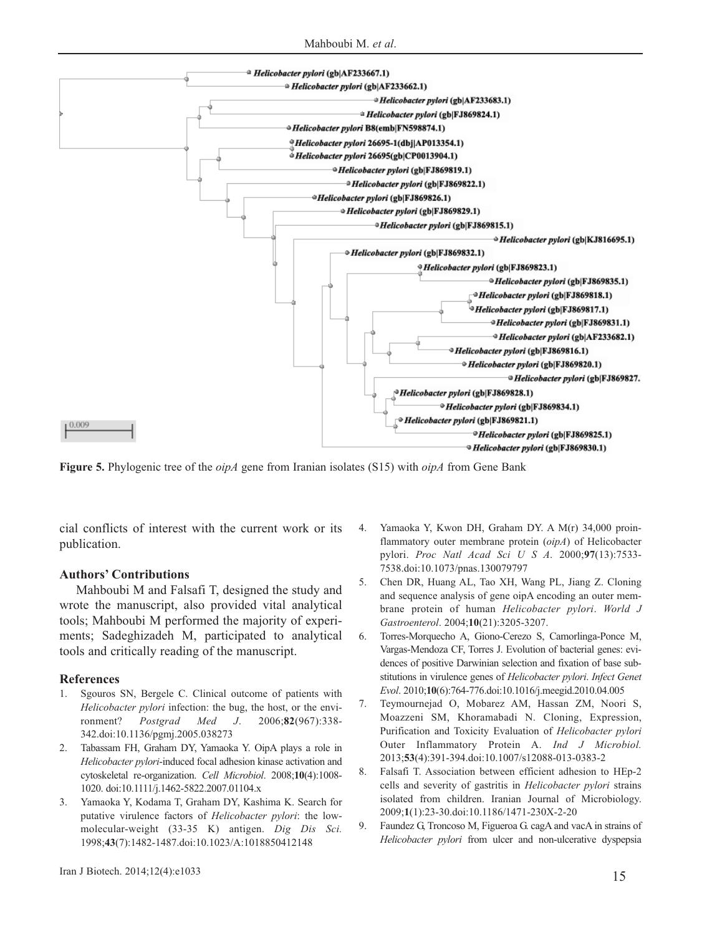Mahboubi M. *et al*.



**Figure 5.** Phylogenic tree of the *oipA* gene from Iranian isolates (S15) with *oipA* from Gene Bank

cial conflicts of interest with the current work or its publication.

#### **Authors' Contributions**

Mahboubi M and Falsafi T, designed the study and wrote the manuscript, also provided vital analytical tools; Mahboubi M performed the majority of experiments; Sadeghizadeh M, participated to analytical tools and critically reading of the manuscript.

#### **References**

- 1. Sgouros SN, Bergele C. Clinical outcome of patients with *Helicobacter pylori* infection: the bug, the host, or the environment? *Postgrad Med J*. 2006;**82**(967):338- 342.doi:10.1136/pgmj.2005.038273
- 2. Tabassam FH, Graham DY, Yamaoka Y. OipA plays a role in *Helicobacter pylori*-induced focal adhesion kinase activation and cytoskeletal re-organization. *Cell Microbiol*. 2008;**10**(4):1008- 1020. doi:10.1111/j.1462-5822.2007.01104.x
- 3. Yamaoka Y, Kodama T, Graham DY, Kashima K. Search for putative virulence factors of *Helicobacter pylori*: the lowmolecular-weight (33-35 K) antigen. *Dig Dis Sci.* 1998;**43**(7):1482-1487.doi:10.1023/A:1018850412148
- 4. Yamaoka Y, Kwon DH, Graham DY. A M(r) 34,000 proinflammatory outer membrane protein (*oipA*) of Helicobacter pylori. *Proc Natl Acad Sci U S A*. 2000;**97**(13):7533- 7538.doi:10.1073/pnas.130079797
- 5. Chen DR, Huang AL, Tao XH, Wang PL, Jiang Z. Cloning and sequence analysis of gene oipA encoding an outer membrane protein of human *Helicobacter pylori*. *World J Gastroenterol*. 2004;**10**(21):3205-3207.
- 6. Torres-Morquecho A, Giono-Cerezo S, Camorlinga-Ponce M, Vargas-Mendoza CF, Torres J. Evolution of bacterial genes: evidences of positive Darwinian selection and fixation of base substitutions in virulence genes of *Helicobacter pylori*. *Infect Genet Evol*. 2010;**10**(6):764-776.doi:10.1016/j.meegid.2010.04.005
- 7. Teymournejad O, Mobarez AM, Hassan ZM, Noori S, Moazzeni SM, Khoramabadi N. Cloning, Expression, Purification and Toxicity Evaluation of *Helicobacter pylori* Outer Inflammatory Protein A. *Ind J Microbiol.* 2013;**53**(4):391-394.doi:10.1007/s12088-013-0383-2
- 8. Falsafi T. Association between efficient adhesion to HEp-2 cells and severity of gastritis in *Helicobacter pylori* strains isolated from children. Iranian Journal of Microbiology. 2009;**1**(1):23-30.doi:10.1186/1471-230X-2-20
- 9. Faundez G, Troncoso M, Figueroa G. cagA and vacA in strains of *Helicobacter pylori* from ulcer and non-ulcerative dyspepsia